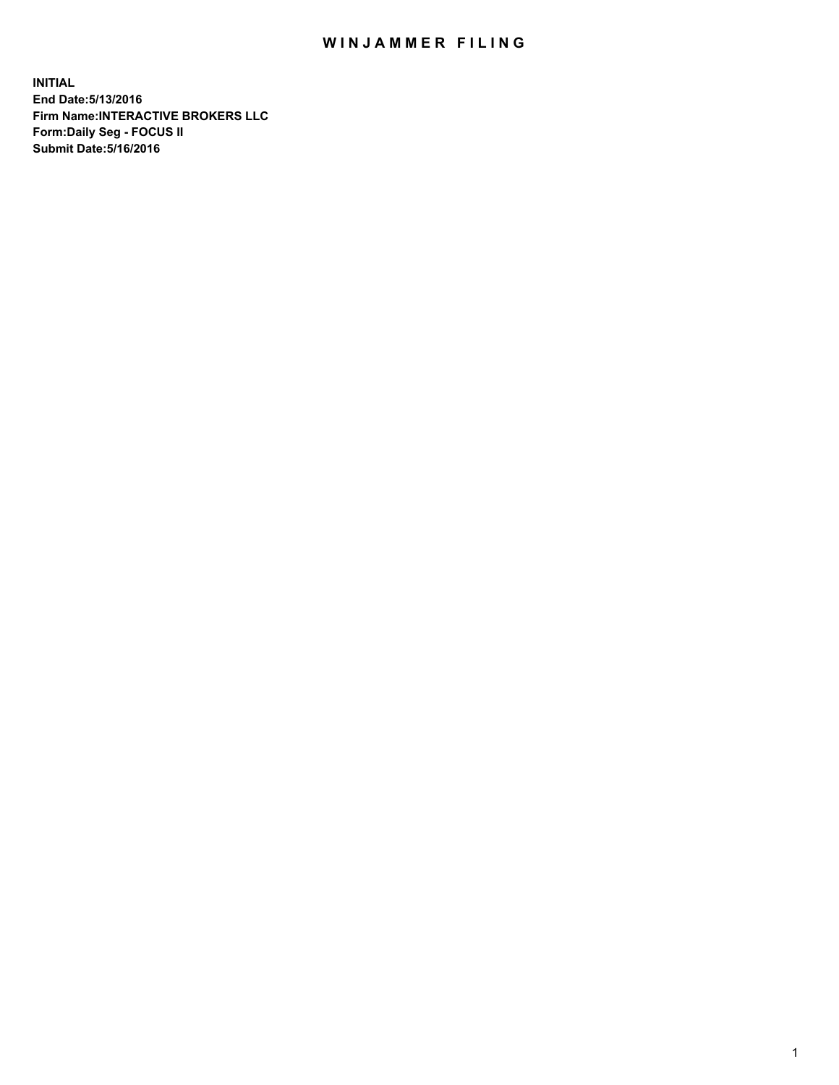## WIN JAMMER FILING

**INITIAL End Date:5/13/2016 Firm Name:INTERACTIVE BROKERS LLC Form:Daily Seg - FOCUS II Submit Date:5/16/2016**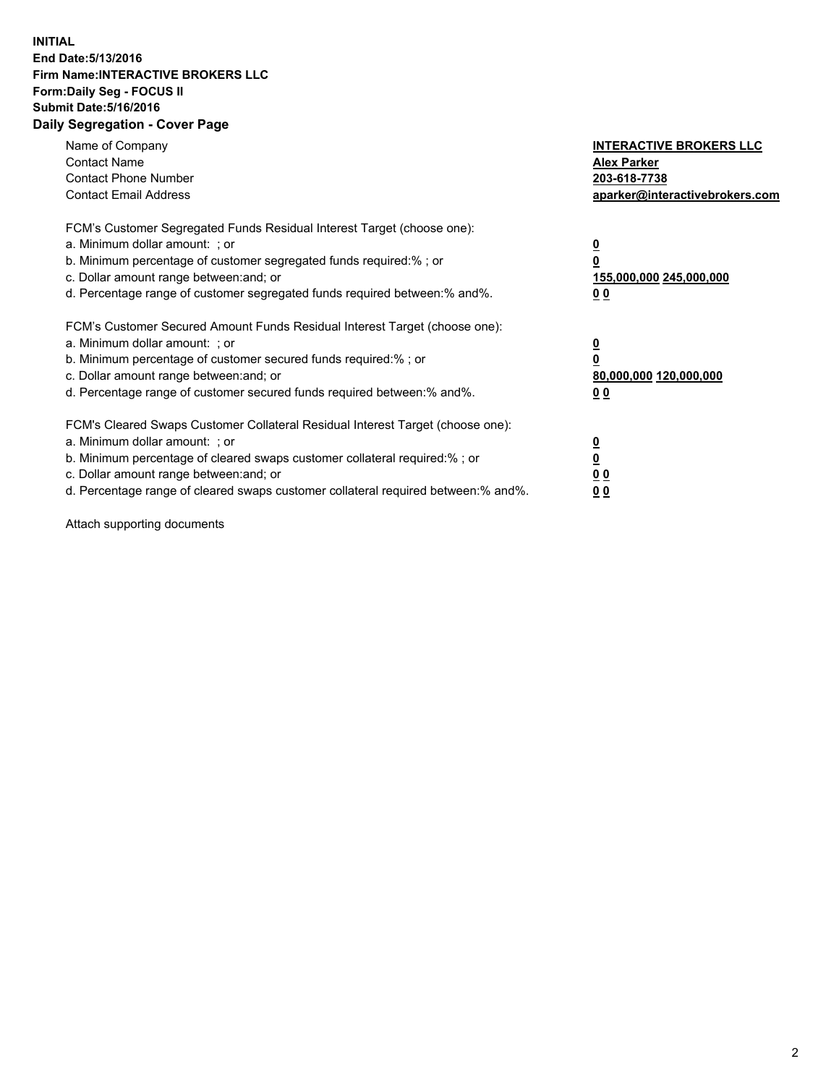## **INITIAL End Date:5/13/2016 Firm Name:INTERACTIVE BROKERS LLC Form:Daily Seg - FOCUS II Submit Date:5/16/2016 Daily Segregation - Cover Page**

| Name of Company<br><b>Contact Name</b><br><b>Contact Phone Number</b><br><b>Contact Email Address</b>                                                                                                                                                                                                                          | <b>INTERACTIVE BROKERS LLC</b><br><b>Alex Parker</b><br>203-618-7738<br>aparker@interactivebrokers.com |
|--------------------------------------------------------------------------------------------------------------------------------------------------------------------------------------------------------------------------------------------------------------------------------------------------------------------------------|--------------------------------------------------------------------------------------------------------|
| FCM's Customer Segregated Funds Residual Interest Target (choose one):<br>a. Minimum dollar amount: ; or<br>b. Minimum percentage of customer segregated funds required:%; or<br>c. Dollar amount range between: and; or<br>d. Percentage range of customer segregated funds required between:% and%.                          | <u>0</u><br>155,000,000 245,000,000<br><u>0 0</u>                                                      |
| FCM's Customer Secured Amount Funds Residual Interest Target (choose one):<br>a. Minimum dollar amount: ; or<br>b. Minimum percentage of customer secured funds required:% ; or<br>c. Dollar amount range between: and; or<br>d. Percentage range of customer secured funds required between:% and%.                           | <u>0</u><br>80,000,000 120,000,000<br><u>0 0</u>                                                       |
| FCM's Cleared Swaps Customer Collateral Residual Interest Target (choose one):<br>a. Minimum dollar amount: ; or<br>b. Minimum percentage of cleared swaps customer collateral required:% ; or<br>c. Dollar amount range between: and; or<br>d. Percentage range of cleared swaps customer collateral required between:% and%. | <u>0</u><br>0 <sub>0</sub><br>0 <sub>0</sub>                                                           |

Attach supporting documents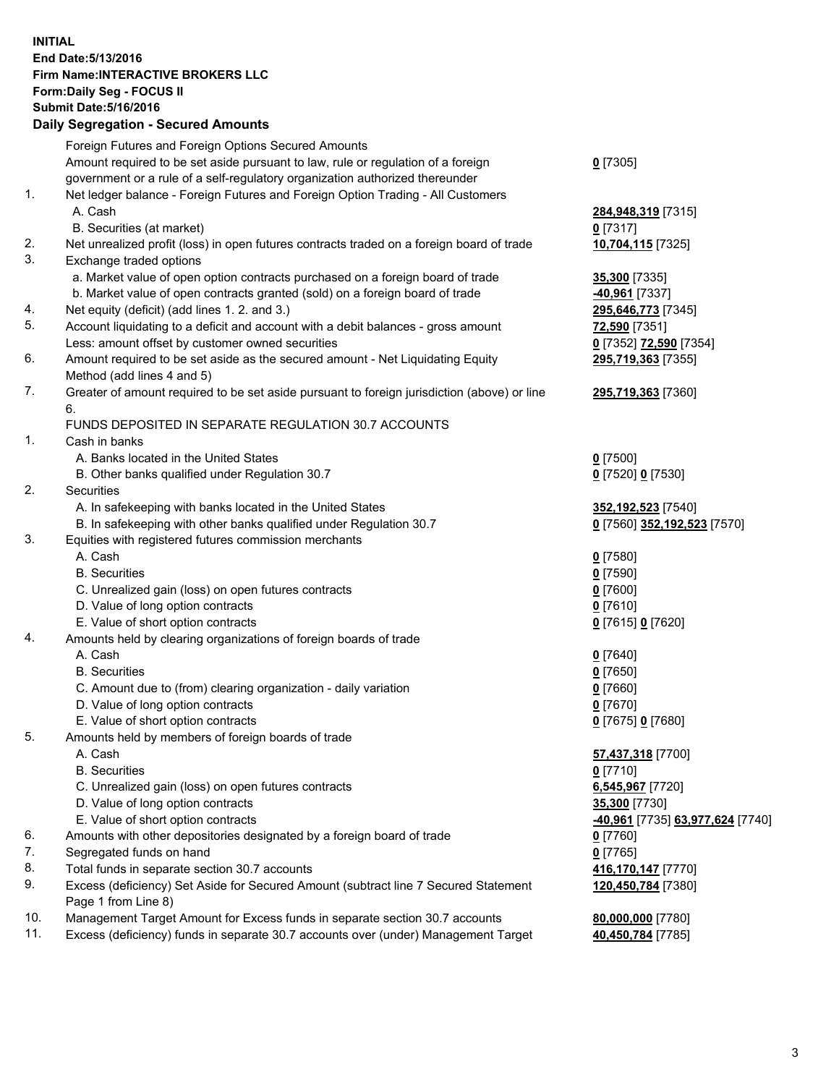## **INITIAL End Date:5/13/2016 Firm Name:INTERACTIVE BROKERS LLC Form:Daily Seg - FOCUS II Submit Date:5/16/2016 Daily Segregation - Secured Amounts**

|                | Daily Segregation - Secured Amounts                                                                        |                                  |
|----------------|------------------------------------------------------------------------------------------------------------|----------------------------------|
|                | Foreign Futures and Foreign Options Secured Amounts                                                        |                                  |
|                | Amount required to be set aside pursuant to law, rule or regulation of a foreign                           | $0$ [7305]                       |
|                | government or a rule of a self-regulatory organization authorized thereunder                               |                                  |
| 1.             | Net ledger balance - Foreign Futures and Foreign Option Trading - All Customers                            |                                  |
|                | A. Cash                                                                                                    | 284,948,319 [7315]               |
|                | B. Securities (at market)                                                                                  | $0$ [7317]                       |
| 2.             | Net unrealized profit (loss) in open futures contracts traded on a foreign board of trade                  | 10,704,115 [7325]                |
| 3.             | Exchange traded options                                                                                    |                                  |
|                | a. Market value of open option contracts purchased on a foreign board of trade                             | 35,300 [7335]                    |
|                | b. Market value of open contracts granted (sold) on a foreign board of trade                               | -40,961 [7337]                   |
| 4.             | Net equity (deficit) (add lines 1.2. and 3.)                                                               | 295,646,773 [7345]               |
| 5.             | Account liquidating to a deficit and account with a debit balances - gross amount                          | 72,590 [7351]                    |
|                | Less: amount offset by customer owned securities                                                           | 0 [7352] 72,590 [7354]           |
| 6.             | Amount required to be set aside as the secured amount - Net Liquidating Equity                             | 295,719,363 [7355]               |
|                | Method (add lines 4 and 5)                                                                                 |                                  |
| 7.             | Greater of amount required to be set aside pursuant to foreign jurisdiction (above) or line                | 295,719,363 [7360]               |
|                | 6.                                                                                                         |                                  |
|                | FUNDS DEPOSITED IN SEPARATE REGULATION 30.7 ACCOUNTS                                                       |                                  |
| $\mathbf{1}$ . | Cash in banks                                                                                              |                                  |
|                | A. Banks located in the United States                                                                      | $0$ [7500]                       |
|                | B. Other banks qualified under Regulation 30.7                                                             | 0 [7520] 0 [7530]                |
| 2.             | Securities                                                                                                 |                                  |
|                | A. In safekeeping with banks located in the United States                                                  | 352,192,523 [7540]               |
|                | B. In safekeeping with other banks qualified under Regulation 30.7                                         | 0 [7560] 352,192,523 [7570]      |
| 3.             | Equities with registered futures commission merchants                                                      |                                  |
|                | A. Cash                                                                                                    | $0$ [7580]                       |
|                | <b>B.</b> Securities                                                                                       | $0$ [7590]                       |
|                | C. Unrealized gain (loss) on open futures contracts                                                        | $0$ [7600]                       |
|                | D. Value of long option contracts                                                                          | $0$ [7610]                       |
|                | E. Value of short option contracts                                                                         | 0 [7615] 0 [7620]                |
| 4.             | Amounts held by clearing organizations of foreign boards of trade                                          |                                  |
|                | A. Cash                                                                                                    | $0$ [7640]                       |
|                | <b>B.</b> Securities                                                                                       | $0$ [7650]                       |
|                | C. Amount due to (from) clearing organization - daily variation                                            | $0$ [7660]                       |
|                | D. Value of long option contracts                                                                          | $0$ [7670]                       |
|                | E. Value of short option contracts                                                                         | 0 [7675] 0 [7680]                |
| 5.             | Amounts held by members of foreign boards of trade                                                         |                                  |
|                | A. Cash                                                                                                    | 57,437,318 [7700]                |
|                | <b>B.</b> Securities                                                                                       | $0$ [7710]                       |
|                | C. Unrealized gain (loss) on open futures contracts                                                        | 6,545,967 [7720]                 |
|                | D. Value of long option contracts                                                                          | 35,300 [7730]                    |
|                | E. Value of short option contracts                                                                         | -40,961 [7735] 63,977,624 [7740] |
| 6.             | Amounts with other depositories designated by a foreign board of trade                                     | 0 [7760]                         |
| 7.             | Segregated funds on hand                                                                                   | $0$ [7765]                       |
| 8.             | Total funds in separate section 30.7 accounts                                                              | 416,170,147 [7770]               |
| 9.             | Excess (deficiency) Set Aside for Secured Amount (subtract line 7 Secured Statement<br>Page 1 from Line 8) | 120,450,784 [7380]               |
| 10.            | Management Target Amount for Excess funds in separate section 30.7 accounts                                | 80,000,000 [7780]                |
| 11.            | Excess (deficiency) funds in separate 30.7 accounts over (under) Management Target                         | 40,450,784 [7785]                |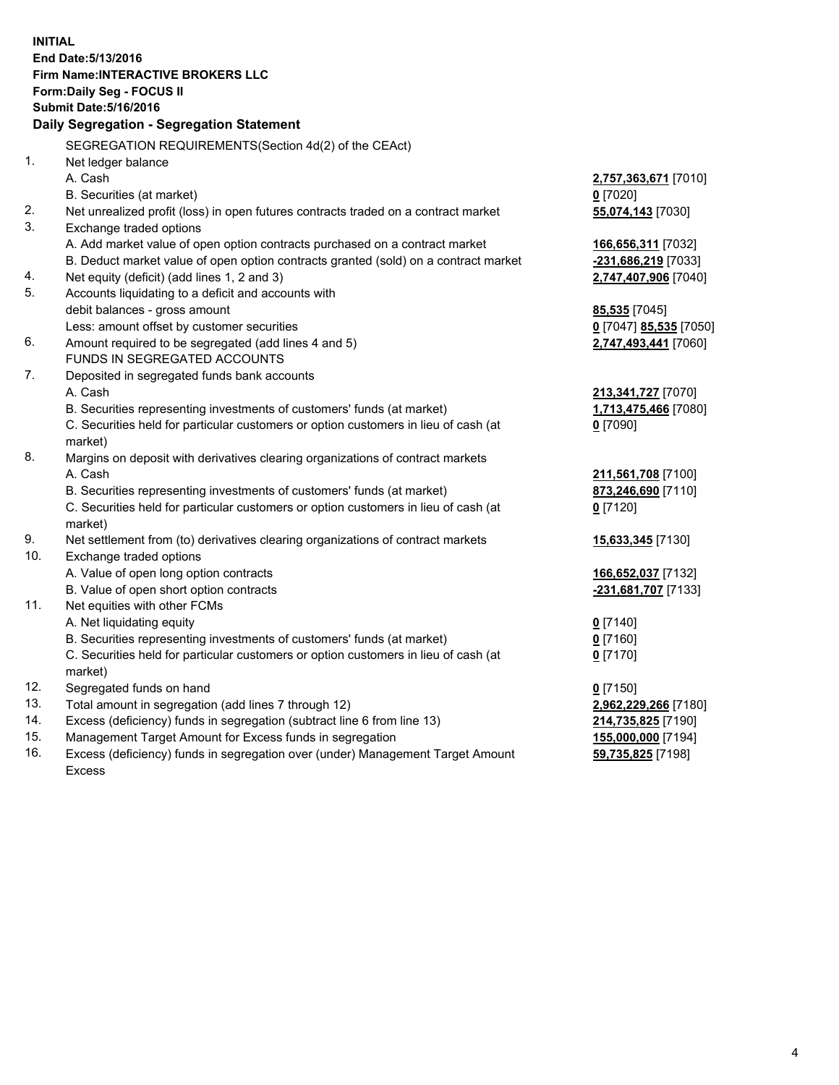**INITIAL End Date:5/13/2016 Firm Name:INTERACTIVE BROKERS LLC Form:Daily Seg - FOCUS II Submit Date:5/16/2016 Daily Segregation - Segregation Statement** SEGREGATION REQUIREMENTS(Section 4d(2) of the CEAct) 1. Net ledger balance A. Cash **2,757,363,671** [7010] B. Securities (at market) **0** [7020] 2. Net unrealized profit (loss) in open futures contracts traded on a contract market **55,074,143** [7030] 3. Exchange traded options A. Add market value of open option contracts purchased on a contract market **166,656,311** [7032] B. Deduct market value of open option contracts granted (sold) on a contract market **-231,686,219** [7033] 4. Net equity (deficit) (add lines 1, 2 and 3) **2,747,407,906** [7040] 5. Accounts liquidating to a deficit and accounts with debit balances - gross amount **85,535** [7045] Less: amount offset by customer securities **0** [7047] **85,535** [7050] 6. Amount required to be segregated (add lines 4 and 5) **2,747,493,441** [7060] FUNDS IN SEGREGATED ACCOUNTS 7. Deposited in segregated funds bank accounts A. Cash **213,341,727** [7070] B. Securities representing investments of customers' funds (at market) **1,713,475,466** [7080] C. Securities held for particular customers or option customers in lieu of cash (at market) **0** [7090] 8. Margins on deposit with derivatives clearing organizations of contract markets A. Cash **211,561,708** [7100] B. Securities representing investments of customers' funds (at market) **873,246,690** [7110] C. Securities held for particular customers or option customers in lieu of cash (at market) **0** [7120] 9. Net settlement from (to) derivatives clearing organizations of contract markets **15,633,345** [7130] 10. Exchange traded options A. Value of open long option contracts **166,652,037** [7132] B. Value of open short option contracts **-231,681,707** [7133] 11. Net equities with other FCMs A. Net liquidating equity **0** [7140] B. Securities representing investments of customers' funds (at market) **0** [7160] C. Securities held for particular customers or option customers in lieu of cash (at market) **0** [7170] 12. Segregated funds on hand **0** [7150] 13. Total amount in segregation (add lines 7 through 12) **2,962,229,266** [7180] 14. Excess (deficiency) funds in segregation (subtract line 6 from line 13) **214,735,825** [7190] 15. Management Target Amount for Excess funds in segregation **155,000,000** [7194] 16. Excess (deficiency) funds in segregation over (under) Management Target Amount Excess **59,735,825** [7198]